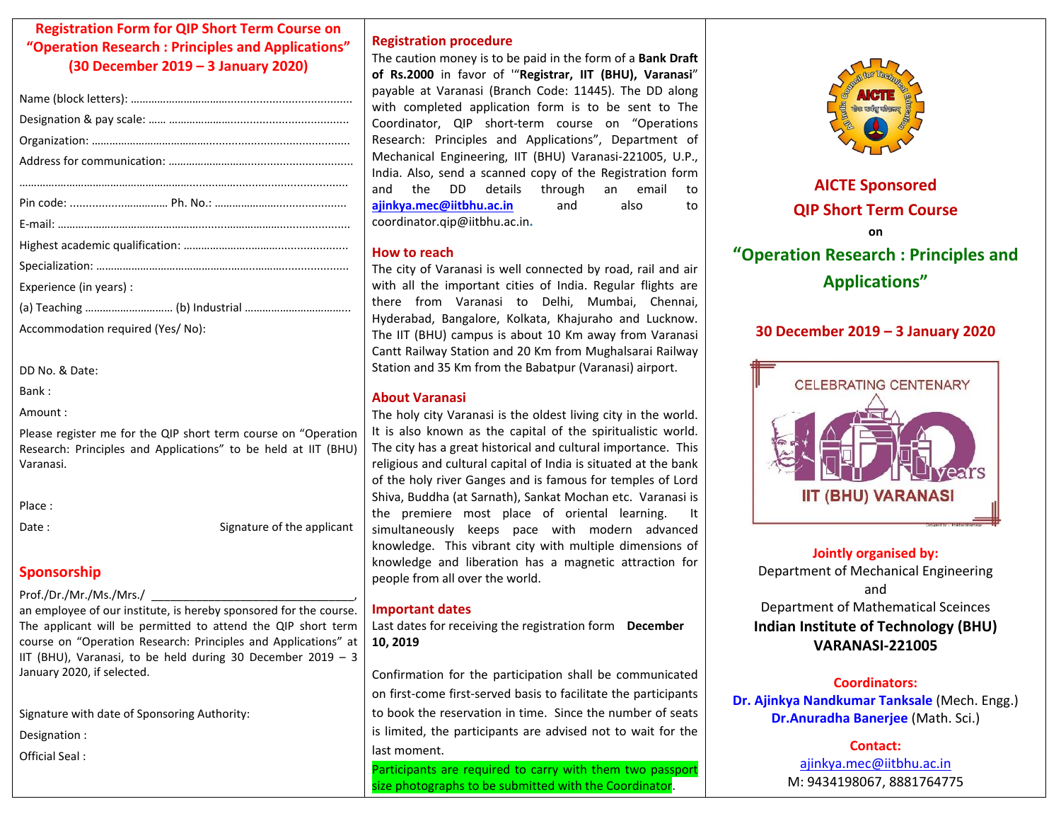# **Registration Form for QIP Short Term Course on "Operation Research : Principles and Applications" (30 December 2019 – 3 January 2020)**

| Experience (in years):           |
|----------------------------------|
|                                  |
| Accommodation required (Yes/No): |

DD No. & Date:

Bank :

Amount :

Please register me for the QIP short term course on "Operation Research: Principles and Applications" to be held at IIT (BHU) Varanasi.

Place :

Date : Signature of the applicant

# **Sponsorship**

## Prof./Dr./Mr./Ms./Mrs./

an employee of our institute, is hereby sponsored for the course. The applicant will be permitted to attend the QIP short term course on "Operation Research: Principles and Applications" at IIT (BHU), Varanasi, to be held during 30 December 2019 – 3 January 2020, if selected.

Signature with date of Sponsoring Authority:

Designation :

Official Seal :

## **Registration procedure**

The caution money is to be paid in the form of a **Bank Draft of Rs.2000** in favor of '"**Registrar, IIT (BHU), Varanasi**" payable at Varanasi (Branch Code: 11445). The DD along with completed application form is to be sent to The Coordinator, QIP short-term course on "Operations Research: Principles and Applications", Department of Mechanical Engineering, IIT (BHU) Varanasi-221005, U.P., India. Also, send a scanned copy of the Registration form and the DD details through an email to **[ajinkya.mec@iitbhu.ac.in](mailto:ajinkya.mec@iitbhu.ac.in)** and also to coordinator.qip@iitbhu.ac.in**.**

## **How to reach**

The city of Varanasi is well connected by road, rail and air with all the important cities of India. Regular flights are there from Varanasi to Delhi, Mumbai, Chennai, Hyderabad, Bangalore, Kolkata, Khajuraho and Lucknow. The IIT (BHU) campus is about 10 Km away from Varanasi Cantt Railway Station and 20 Km from Mughalsarai Railway Station and 35 Km from the Babatpur (Varanasi) airport.

# **About Varanasi**

The holy city Varanasi is the oldest living city in the world. It is also known as the capital of the spiritualistic world. The city has a great historical and cultural importance. This religious and cultural capital of India is situated at the bank of the holy river Ganges and is famous for temples of Lord Shiva, Buddha (at Sarnath), Sankat Mochan etc. Varanasi is the premiere most place of oriental learning. simultaneously keeps pace with modern advanced knowledge. This vibrant city with multiple dimensions of knowledge and liberation has a magnetic attraction for people from all over the world.

## **Important dates**

Last dates for receiving the registration form **December 10, 2019**

Confirmation for the participation shall be communicated on first-come first-served basis to facilitate the participants to book the reservation in time. Since the number of seats is limited, the participants are advised not to wait for the last moment.

Participants are required to carry with them two passport size photographs to be submitted with the Coordinator.



# **AICTE Sponsored QIP Short Term Course on "Operation Research : Principles and Applications"**

# **30 December 2019 – 3 January 2020**



**Jointly organised by:** Department of Mechanical Engineering and Department of Mathematical Sceinces **Indian Institute of Technology (BHU) VARANASI-221005**

## **Coordinators:**

**Dr. Ajinkya Nandkumar Tanksale** (Mech. Engg.) **Dr.Anuradha Banerjee** (Math. Sci.)

> **Contact:** ajinkya.mec@iitbhu.ac.in M: 9434198067, 8881764775